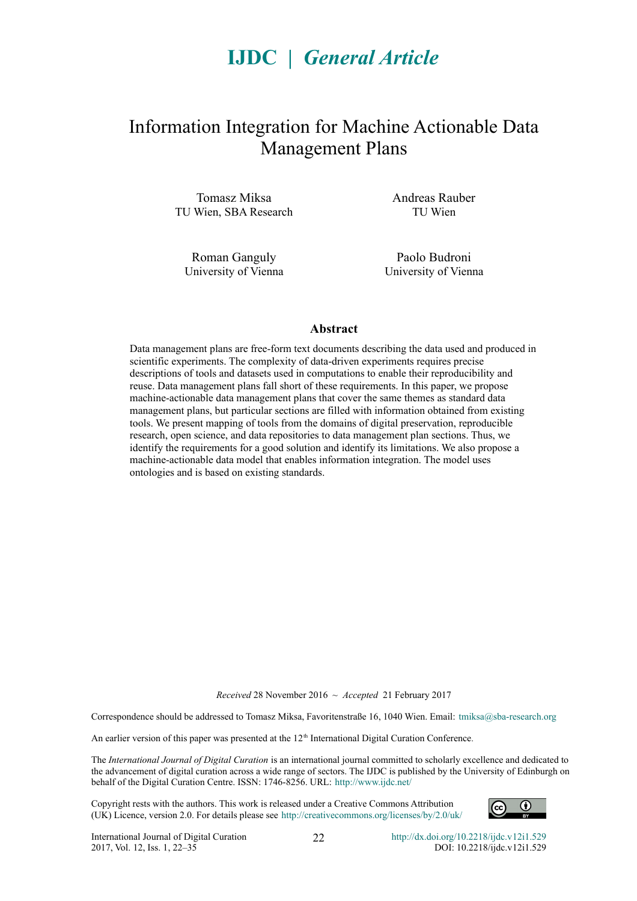# **IJDC |** *General Article*

## Information Integration for Machine Actionable Data Management Plans

Tomasz Miksa TU Wien, SBA Research

Roman Ganguly University of Vienna Andreas Rauber TU Wien

Paolo Budroni University of Vienna

#### **Abstract**

Data management plans are free-form text documents describing the data used and produced in scientific experiments. The complexity of data-driven experiments requires precise descriptions of tools and datasets used in computations to enable their reproducibility and reuse. Data management plans fall short of these requirements. In this paper, we propose machine-actionable data management plans that cover the same themes as standard data management plans, but particular sections are filled with information obtained from existing tools. We present mapping of tools from the domains of digital preservation, reproducible research, open science, and data repositories to data management plan sections. Thus, we identify the requirements for a good solution and identify its limitations. We also propose a machine-actionable data model that enables information integration. The model uses ontologies and is based on existing standards.

*Received* 28 November 2016 ~ *Accepted* 21 February 2017

Correspondence should be addressed to Tomasz Miksa, Favoritenstraße 16, 1040 Wien. Email: [tmiksa@sba-research.org](mailto:tmiksa@sba-research.org)

An earlier version of this paper was presented at the 12<sup>th</sup> International Digital Curation Conference.

The *International Journal of Digital Curation* is an international journal committed to scholarly excellence and dedicated to the advancement of digital curation across a wide range of sectors. The IJDC is published by the University of Edinburgh on behalf of the Digital Curation Centre. ISSN: 1746-8256. URL:<http://www.ijdc.net/>

Copyright rests with the authors. This work is released under a Creative Commons Attribution (UK) Licence, version 2.0. For details please see<http://creativecommons.org/licenses/by/2.0/uk/>

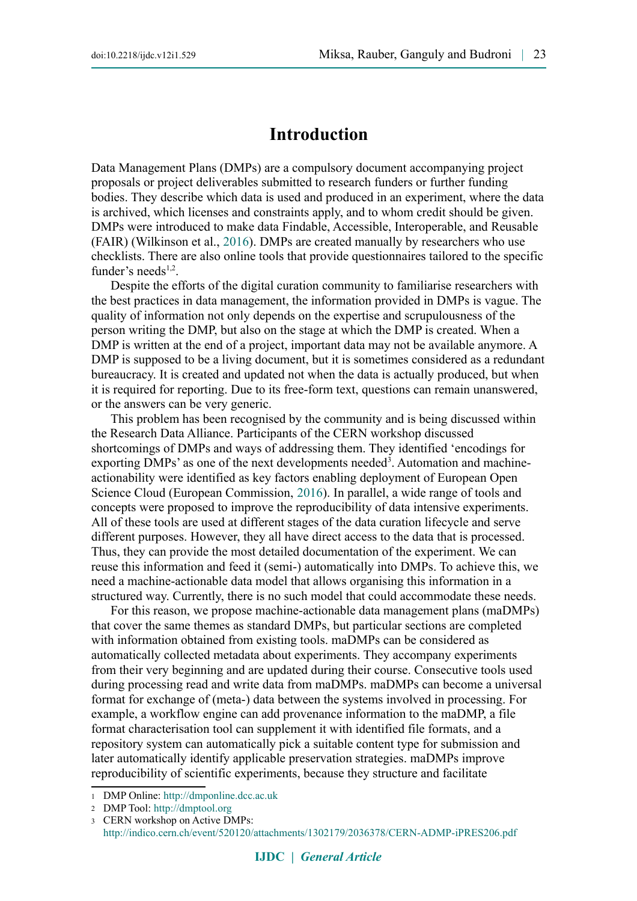### **Introduction**

Data Management Plans (DMPs) are a compulsory document accompanying project proposals or project deliverables submitted to research funders or further funding bodies. They describe which data is used and produced in an experiment, where the data is archived, which licenses and constraints apply, and to whom credit should be given. DMPs were introduced to make data Findable, Accessible, Interoperable, and Reusable (FAIR) (Wilkinson et al., [2016\)](#page-13-1). DMPs are created manually by researchers who use checklists. There are also online tools that provide questionnaires tailored to the specific funder's needs $1,2$  $1,2$ .

Despite the efforts of the digital curation community to familiarise researchers with the best practices in data management, the information provided in DMPs is vague. The quality of information not only depends on the expertise and scrupulousness of the person writing the DMP, but also on the stage at which the DMP is created. When a DMP is written at the end of a project, important data may not be available anymore. A DMP is supposed to be a living document, but it is sometimes considered as a redundant bureaucracy. It is created and updated not when the data is actually produced, but when it is required for reporting. Due to its free-form text, questions can remain unanswered, or the answers can be very generic.

This problem has been recognised by the community and is being discussed within the Research Data Alliance. Participants of the CERN workshop discussed shortcomings of DMPs and ways of addressing them. They identified 'encodings for exporting DMPs' as one of the next developments needed<sup>3</sup>. Automation and machineactionability were identified as key factors enabling deployment of European Open Science Cloud (European Commission, [2016\)](#page-13-0). In parallel, a wide range of tools and concepts were proposed to improve the reproducibility of data intensive experiments. All of these tools are used at different stages of the data curation lifecycle and serve different purposes. However, they all have direct access to the data that is processed. Thus, they can provide the most detailed documentation of the experiment. We can reuse this information and feed it (semi-) automatically into DMPs. To achieve this, we need a machine-actionable data model that allows organising this information in a structured way. Currently, there is no such model that could accommodate these needs.

For this reason, we propose machine-actionable data management plans (maDMPs) that cover the same themes as standard DMPs, but particular sections are completed with information obtained from existing tools. maDMPs can be considered as automatically collected metadata about experiments. They accompany experiments from their very beginning and are updated during their course. Consecutive tools used during processing read and write data from maDMPs. maDMPs can become a universal format for exchange of (meta-) data between the systems involved in processing. For example, a workflow engine can add provenance information to the maDMP, a file format characterisation tool can supplement it with identified file formats, and a repository system can automatically pick a suitable content type for submission and later automatically identify applicable preservation strategies. maDMPs improve reproducibility of scientific experiments, because they structure and facilitate

<span id="page-1-0"></span><sup>1</sup> DMP Online: [http://dmponline.dcc.ac.uk](http://dmponline.dcc.ac.uk/)

<span id="page-1-1"></span><sup>2</sup> DMP Tool: [http://dmptool.org](http://dmptool.org/)

<span id="page-1-2"></span><sup>3</sup> CERN workshop on Active DMPs: <http://indico.cern.ch/event/520120/attachments/1302179/2036378/CERN-ADMP-iPRES206.pdf>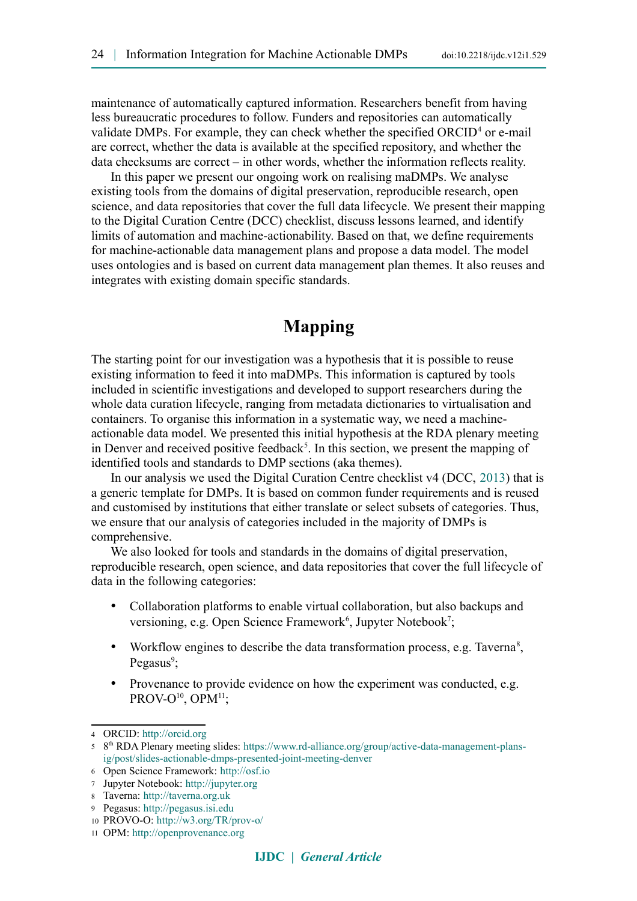maintenance of automatically captured information. Researchers benefit from having less bureaucratic procedures to follow. Funders and repositories can automatically validate DMPs. For example, they can check whether the specified  $ORCID<sup>4</sup>$  $ORCID<sup>4</sup>$  $ORCID<sup>4</sup>$  or e-mail are correct, whether the data is available at the specified repository, and whether the data checksums are correct – in other words, whether the information reflects reality.

In this paper we present our ongoing work on realising maDMPs. We analyse existing tools from the domains of digital preservation, reproducible research, open science, and data repositories that cover the full data lifecycle. We present their mapping to the Digital Curation Centre (DCC) checklist, discuss lessons learned, and identify limits of automation and machine-actionability. Based on that, we define requirements for machine-actionable data management plans and propose a data model. The model uses ontologies and is based on current data management plan themes. It also reuses and integrates with existing domain specific standards.

## **Mapping**

The starting point for our investigation was a hypothesis that it is possible to reuse existing information to feed it into maDMPs. This information is captured by tools included in scientific investigations and developed to support researchers during the whole data curation lifecycle, ranging from metadata dictionaries to virtualisation and containers. To organise this information in a systematic way, we need a machineactionable data model. We presented this initial hypothesis at the RDA plenary meeting in Denver and received positive feedback<sup>5</sup>. In this section, we present the mapping of identified tools and standards to DMP sections (aka themes).

In our analysis we used the Digital Curation Centre checklist v4 (DCC, [2013\)](#page-13-2) that is a generic template for DMPs. It is based on common funder requirements and is reused and customised by institutions that either translate or select subsets of categories. Thus, we ensure that our analysis of categories included in the majority of DMPs is comprehensive.

We also looked for tools and standards in the domains of digital preservation, reproducible research, open science, and data repositories that cover the full lifecycle of data in the following categories:

- Collaboration platforms to enable virtual collaboration, but also backups and versioning, e.g. Open Science Framework<sup>6</sup>, Jupyter Notebook<sup>7</sup>;
- Workflow engines to describe the data transformation process, e.g. Taverna<sup>[8](#page-2-4)</sup>, Pegasus<sup>9</sup>;
- Provenance to provide evidence on how the experiment was conducted, e.g. PROV-O<sup>10</sup>, OPM<sup>11</sup>;

<span id="page-2-0"></span><sup>4</sup> ORCID: [http://orcid.org](http://orcid.org/)

<span id="page-2-1"></span><sup>5 8&</sup>lt;sup>th</sup> RDA Plenary meeting slides: [https://www.rd-alliance.org/group/active-data-management-plans](https://www.rd-alliance.org/group/active-data-management-plans-ig/post/slides-actionable-dmps-presented-joint-meeting-denver)[ig/post/slides-actionable-dmps-presented-joint-meeting-denver](https://www.rd-alliance.org/group/active-data-management-plans-ig/post/slides-actionable-dmps-presented-joint-meeting-denver)

<span id="page-2-2"></span><sup>6</sup> Open Science Framework: [http://osf.io](http://osf.io/)

<span id="page-2-3"></span><sup>7</sup> Jupyter Notebook: [http://jupyter.org](http://jupyter.org/)

<span id="page-2-4"></span><sup>8</sup> Taverna: [http://taverna.org.uk](http://taverna.org.uk/)

<span id="page-2-5"></span><sup>9</sup> Pegasus: [http://pegasus.isi.edu](http://pegasus.isi.edu/)

<span id="page-2-6"></span><sup>10</sup> PROVO-O:<http://w3.org/TR/prov-o/>

<span id="page-2-7"></span><sup>11</sup> OPM: [http://openprovenance.org](http://openprovenance.org/)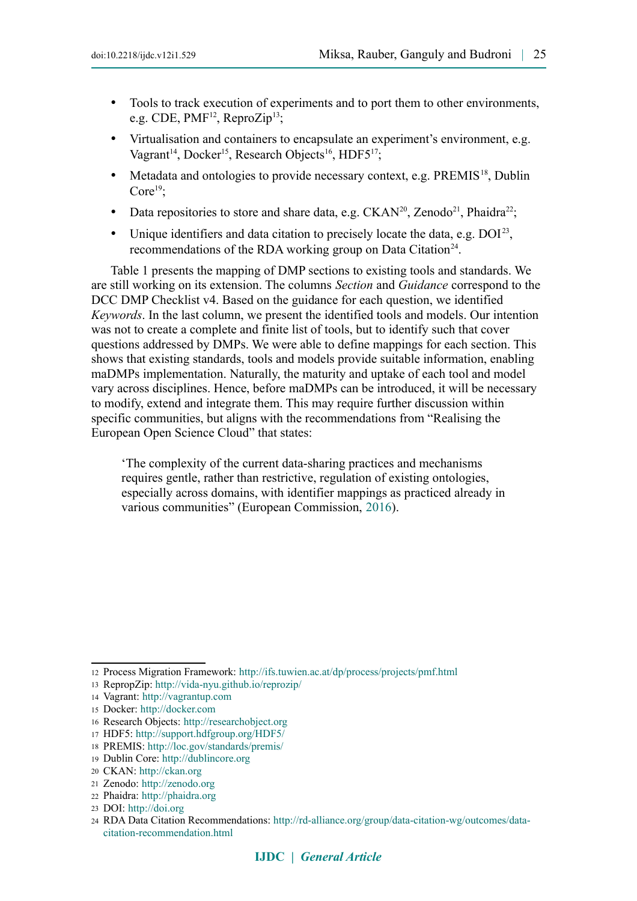- Tools to track execution of experiments and to port them to other environments, e.g. CDE, PMF<sup>12</sup>, ReproZip<sup>13</sup>;
- Virtualisation and containers to encapsulate an experiment's environment, e.g. Vagrant<sup>14</sup>, Docker<sup>15</sup>, Research Objects<sup>16</sup>, HDF5<sup>17</sup>;
- Metadata and ontologies to provide necessary context, e.g. PREMIS<sup>18</sup>, Dublin Core $19$ :
- Data repositories to store and share data, e.g.  $CKAN^{20}$ , Zenodo<sup>21</sup>, Phaidra<sup>22</sup>;
- Unique identifiers and data citation to precisely locate the data, e.g.  $DOI<sup>23</sup>$ , recommendations of the RDA working group on Data Citation<sup>24</sup>.

Table 1 presents the mapping of DMP sections to existing tools and standards. We are still working on its extension. The columns *Section* and *Guidance* correspond to the DCC DMP Checklist v4. Based on the guidance for each question, we identified *Keywords*. In the last column, we present the identified tools and models. Our intention was not to create a complete and finite list of tools, but to identify such that cover questions addressed by DMPs. We were able to define mappings for each section. This shows that existing standards, tools and models provide suitable information, enabling maDMPs implementation. Naturally, the maturity and uptake of each tool and model vary across disciplines. Hence, before maDMPs can be introduced, it will be necessary to modify, extend and integrate them. This may require further discussion within specific communities, but aligns with the recommendations from "Realising the European Open Science Cloud" that states:

'The complexity of the current data-sharing practices and mechanisms requires gentle, rather than restrictive, regulation of existing ontologies, especially across domains, with identifier mappings as practiced already in various communities" (European Commission, [2016\)](#page-13-0).

<span id="page-3-0"></span><sup>12</sup> Process Migration Framework: <http://ifs.tuwien.ac.at/dp/process/projects/pmf.html>

<span id="page-3-1"></span><sup>13</sup> RepropZip: <http://vida-nyu.github.io/reprozip/>

<span id="page-3-2"></span><sup>14</sup> Vagrant: [http://vagrantup.com](http://vagrantup.com/)

<span id="page-3-3"></span><sup>15</sup> Docker: [http://docker.com](http://docker.com/)

<span id="page-3-4"></span><sup>16</sup> Research Objects: [http://researchobject.org](http://researchobject.org/)

<span id="page-3-5"></span><sup>17</sup> HDF5: <http://support.hdfgroup.org/HDF5/>

<span id="page-3-6"></span><sup>18</sup> PREMIS: <http://loc.gov/standards/premis/>

<span id="page-3-7"></span><sup>19</sup> Dublin Core: [http://dublincore.org](http://dublincore.org/)

<span id="page-3-8"></span><sup>20</sup> CKAN: [http://ckan.org](http://ckan.org/)

<span id="page-3-9"></span><sup>21</sup> Zenodo: [http://zenodo.org](http://zenodo.org/)

<span id="page-3-10"></span><sup>22</sup> Phaidra: [http://phaidra.org](http://phaidra.org/)

<span id="page-3-11"></span><sup>23</sup> DOI: [http://doi.org](http://doi.org/)

<span id="page-3-12"></span><sup>24</sup> RDA Data Citation Recommendations: [http://rd-alliance.org/group/data-citation-wg/outcomes/data](http://rd-alliance.org/group/data-citation-wg/outcomes/data-citation-recommendation.html)[citation-recommendation.html](http://rd-alliance.org/group/data-citation-wg/outcomes/data-citation-recommendation.html)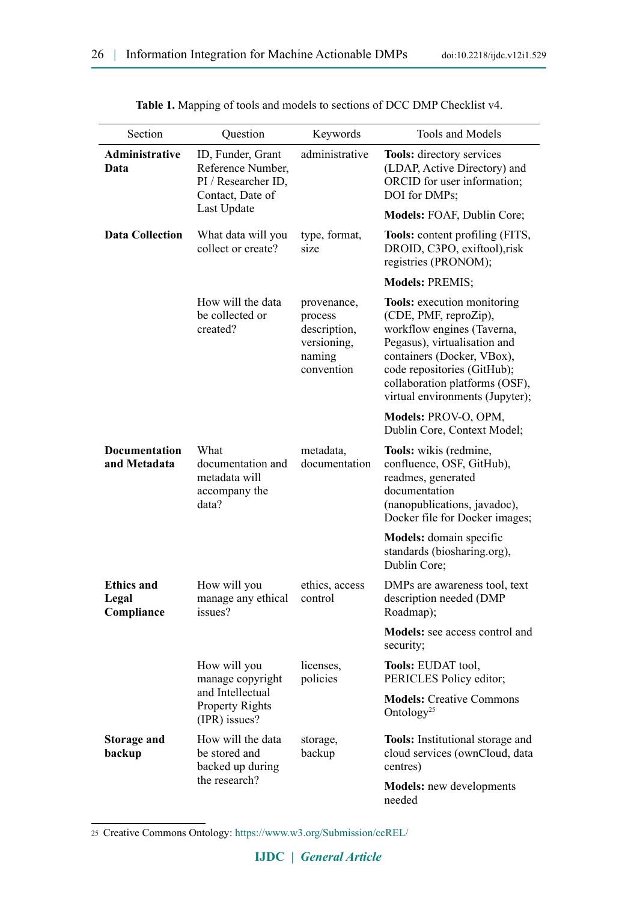| Section                                  | Question                                                                                         | Keywords                                                                      | Tools and Models                                                                                                                                                                                                                                            |
|------------------------------------------|--------------------------------------------------------------------------------------------------|-------------------------------------------------------------------------------|-------------------------------------------------------------------------------------------------------------------------------------------------------------------------------------------------------------------------------------------------------------|
| <b>Administrative</b><br>Data            | ID, Funder, Grant<br>Reference Number,<br>PI / Researcher ID,<br>Contact, Date of<br>Last Update | administrative                                                                | Tools: directory services<br>(LDAP, Active Directory) and<br>ORCID for user information;<br>DOI for DMPs;                                                                                                                                                   |
|                                          |                                                                                                  |                                                                               | Models: FOAF, Dublin Core;                                                                                                                                                                                                                                  |
| <b>Data Collection</b>                   | What data will you<br>collect or create?                                                         | type, format,<br>size                                                         | <b>Tools:</b> content profiling (FITS,<br>DROID, C3PO, exiftool),risk<br>registries (PRONOM);                                                                                                                                                               |
|                                          |                                                                                                  |                                                                               | <b>Models: PREMIS;</b>                                                                                                                                                                                                                                      |
|                                          | How will the data<br>be collected or<br>created?                                                 | provenance,<br>process<br>description,<br>versioning,<br>naming<br>convention | <b>Tools:</b> execution monitoring<br>(CDE, PMF, reproZip),<br>workflow engines (Taverna,<br>Pegasus), virtualisation and<br>containers (Docker, VBox),<br>code repositories (GitHub);<br>collaboration platforms (OSF),<br>virtual environments (Jupyter); |
|                                          |                                                                                                  |                                                                               | Models: PROV-O, OPM,<br>Dublin Core, Context Model;                                                                                                                                                                                                         |
| <b>Documentation</b><br>and Metadata     | What<br>documentation and<br>metadata will<br>accompany the<br>data?                             | metadata,<br>documentation                                                    | Tools: wikis (redmine,<br>confluence, OSF, GitHub),<br>readmes, generated<br>documentation<br>(nanopublications, javadoc),<br>Docker file for Docker images;                                                                                                |
|                                          |                                                                                                  |                                                                               | Models: domain specific<br>standards (biosharing.org),<br>Dublin Core;                                                                                                                                                                                      |
| <b>Ethics and</b><br>Legal<br>Compliance | How will you<br>manage any ethical control<br>issues?                                            | ethics, access                                                                | DMPs are awareness tool, text<br>description needed (DMP<br>Roadmap);                                                                                                                                                                                       |
|                                          |                                                                                                  |                                                                               | <b>Models:</b> see access control and<br>security;                                                                                                                                                                                                          |
|                                          | How will you<br>manage copyright<br>and Intellectual<br><b>Property Rights</b><br>(IPR) issues?  | licenses,<br>policies                                                         | <b>Tools: EUDAT tool,</b><br>PERICLES Policy editor;                                                                                                                                                                                                        |
|                                          |                                                                                                  |                                                                               | <b>Models: Creative Commons</b><br>Ontology <sup>25</sup>                                                                                                                                                                                                   |
| <b>Storage and</b><br>backup             | How will the data<br>be stored and<br>backed up during<br>the research?                          | storage,<br>backup                                                            | <b>Tools:</b> Institutional storage and<br>cloud services (ownCloud, data<br>centres)                                                                                                                                                                       |
|                                          |                                                                                                  |                                                                               | <b>Models:</b> new developments<br>needed                                                                                                                                                                                                                   |

**Table 1.** Mapping of tools and models to sections of DCC DMP Checklist v4.

<span id="page-4-0"></span><sup>25</sup> Creative Commons Ontology: <https://www.w3.org/Submission/ccREL/>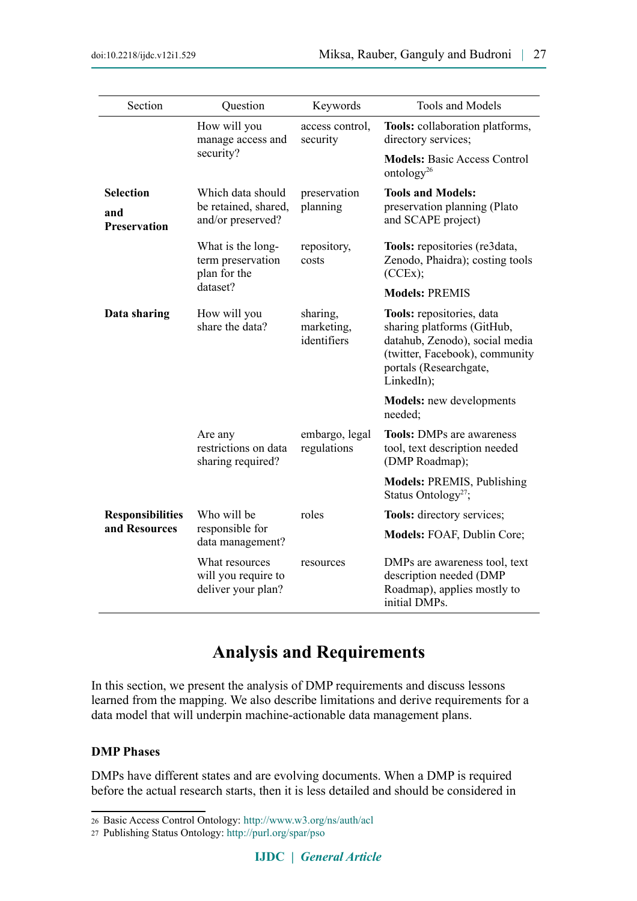| Section                                        | Question                                                           | Keywords                              | Tools and Models                                                                                                                                                    |
|------------------------------------------------|--------------------------------------------------------------------|---------------------------------------|---------------------------------------------------------------------------------------------------------------------------------------------------------------------|
|                                                | How will you<br>manage access and<br>security?                     | access control,<br>security           | Tools: collaboration platforms,<br>directory services;                                                                                                              |
|                                                |                                                                    |                                       | <b>Models: Basic Access Control</b><br>ontology <sup>26</sup>                                                                                                       |
| <b>Selection</b><br>and<br><b>Preservation</b> | Which data should<br>be retained, shared,<br>and/or preserved?     | preservation<br>planning              | <b>Tools and Models:</b><br>preservation planning (Plato<br>and SCAPE project)                                                                                      |
|                                                | What is the long-<br>term preservation<br>plan for the<br>dataset? | repository,<br>costs                  | Tools: repositories (re3data,<br>Zenodo, Phaidra); costing tools<br>(CCEx);                                                                                         |
|                                                |                                                                    |                                       | <b>Models: PREMIS</b>                                                                                                                                               |
| Data sharing                                   | How will you<br>share the data?                                    | sharing,<br>marketing,<br>identifiers | Tools: repositories, data<br>sharing platforms (GitHub,<br>datahub, Zenodo), social media<br>(twitter, Facebook), community<br>portals (Researchgate,<br>LinkedIn); |
|                                                |                                                                    |                                       | <b>Models:</b> new developments<br>needed:                                                                                                                          |
|                                                | Are any<br>restrictions on data<br>sharing required?               | embargo, legal<br>regulations         | <b>Tools: DMPs are awareness</b><br>tool, text description needed<br>(DMP Roadmap);                                                                                 |
|                                                |                                                                    |                                       | <b>Models: PREMIS, Publishing</b><br>Status Ontology <sup>27</sup> ;                                                                                                |
| <b>Responsibilities</b><br>and Resources       | Who will be<br>responsible for<br>data management?                 | roles                                 | <b>Tools:</b> directory services;                                                                                                                                   |
|                                                |                                                                    |                                       | Models: FOAF, Dublin Core;                                                                                                                                          |
|                                                | What resources<br>will you require to<br>deliver your plan?        | resources                             | DMPs are awareness tool, text<br>description needed (DMP<br>Roadmap), applies mostly to<br>initial DMPs.                                                            |

## **Analysis and Requirements**

In this section, we present the analysis of DMP requirements and discuss lessons learned from the mapping. We also describe limitations and derive requirements for a data model that will underpin machine-actionable data management plans.

#### **DMP Phases**

DMPs have different states and are evolving documents. When a DMP is required before the actual research starts, then it is less detailed and should be considered in

<span id="page-5-0"></span><sup>26</sup> Basic Access Control Ontology:<http://www.w3.org/ns/auth/acl>

<span id="page-5-1"></span><sup>27</sup> Publishing Status Ontology:<http://purl.org/spar/pso>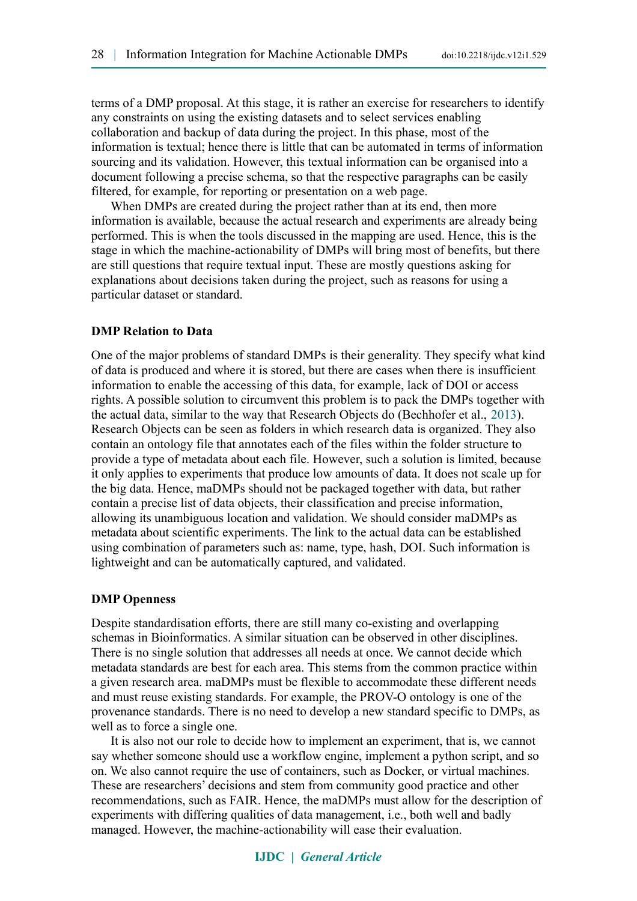terms of a DMP proposal. At this stage, it is rather an exercise for researchers to identify any constraints on using the existing datasets and to select services enabling collaboration and backup of data during the project. In this phase, most of the information is textual; hence there is little that can be automated in terms of information sourcing and its validation. However, this textual information can be organised into a document following a precise schema, so that the respective paragraphs can be easily filtered, for example, for reporting or presentation on a web page.

When DMPs are created during the project rather than at its end, then more information is available, because the actual research and experiments are already being performed. This is when the tools discussed in the mapping are used. Hence, this is the stage in which the machine-actionability of DMPs will bring most of benefits, but there are still questions that require textual input. These are mostly questions asking for explanations about decisions taken during the project, such as reasons for using a particular dataset or standard.

#### **DMP Relation to Data**

One of the major problems of standard DMPs is their generality. They specify what kind of data is produced and where it is stored, but there are cases when there is insufficient information to enable the accessing of this data, for example, lack of DOI or access rights. A possible solution to circumvent this problem is to pack the DMPs together with the actual data, similar to the way that Research Objects do (Bechhofer et al., [2013\)](#page-13-3). Research Objects can be seen as folders in which research data is organized. They also contain an ontology file that annotates each of the files within the folder structure to provide a type of metadata about each file. However, such a solution is limited, because it only applies to experiments that produce low amounts of data. It does not scale up for the big data. Hence, maDMPs should not be packaged together with data, but rather contain a precise list of data objects, their classification and precise information, allowing its unambiguous location and validation. We should consider maDMPs as metadata about scientific experiments. The link to the actual data can be established using combination of parameters such as: name, type, hash, DOI. Such information is lightweight and can be automatically captured, and validated.

#### **DMP Openness**

Despite standardisation efforts, there are still many co-existing and overlapping schemas in Bioinformatics. A similar situation can be observed in other disciplines. There is no single solution that addresses all needs at once. We cannot decide which metadata standards are best for each area. This stems from the common practice within a given research area. maDMPs must be flexible to accommodate these different needs and must reuse existing standards. For example, the PROV-O ontology is one of the provenance standards. There is no need to develop a new standard specific to DMPs, as well as to force a single one.

It is also not our role to decide how to implement an experiment, that is, we cannot say whether someone should use a workflow engine, implement a python script, and so on. We also cannot require the use of containers, such as Docker, or virtual machines. These are researchers' decisions and stem from community good practice and other recommendations, such as FAIR. Hence, the maDMPs must allow for the description of experiments with differing qualities of data management, i.e., both well and badly managed. However, the machine-actionability will ease their evaluation.

#### **IJDC |** *General Article*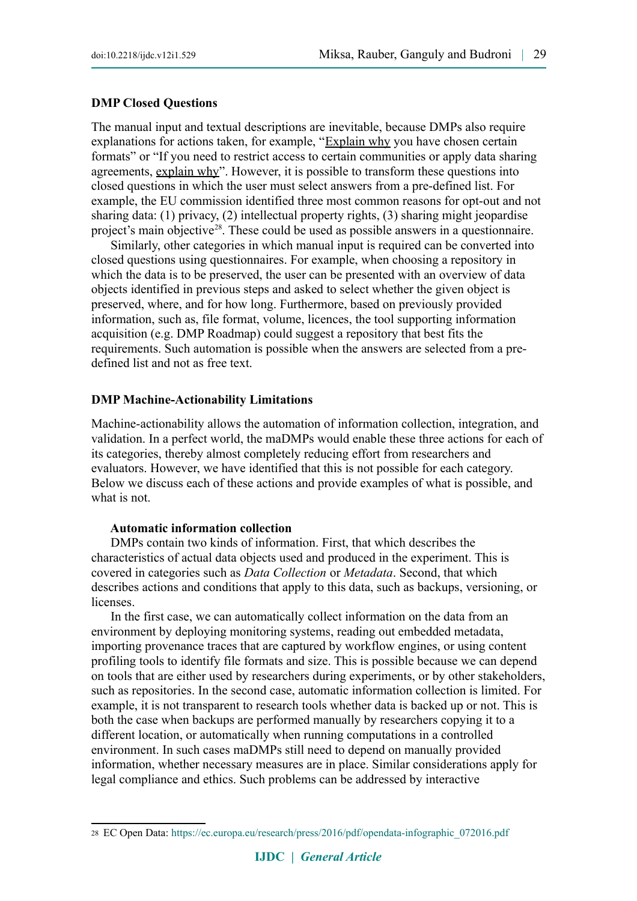#### **DMP Closed Questions**

The manual input and textual descriptions are inevitable, because DMPs also require explanations for actions taken, for example, "Explain why you have chosen certain formats" or "If you need to restrict access to certain communities or apply data sharing agreements, explain why". However, it is possible to transform these questions into closed questions in which the user must select answers from a pre-defined list. For example, the EU commission identified three most common reasons for opt-out and not sharing data: (1) privacy, (2) intellectual property rights, (3) sharing might jeopardise project's main objective<sup>28</sup>. These could be used as possible answers in a questionnaire.

Similarly, other categories in which manual input is required can be converted into closed questions using questionnaires. For example, when choosing a repository in which the data is to be preserved, the user can be presented with an overview of data objects identified in previous steps and asked to select whether the given object is preserved, where, and for how long. Furthermore, based on previously provided information, such as, file format, volume, licences, the tool supporting information acquisition (e.g. DMP Roadmap) could suggest a repository that best fits the requirements. Such automation is possible when the answers are selected from a predefined list and not as free text.

#### **DMP Machine-Actionability Limitations**

Machine-actionability allows the automation of information collection, integration, and validation. In a perfect world, the maDMPs would enable these three actions for each of its categories, thereby almost completely reducing effort from researchers and evaluators. However, we have identified that this is not possible for each category. Below we discuss each of these actions and provide examples of what is possible, and what is not.

#### **Automatic information collection**

DMPs contain two kinds of information. First, that which describes the characteristics of actual data objects used and produced in the experiment. This is covered in categories such as *Data Collection* or *Metadata*. Second, that which describes actions and conditions that apply to this data, such as backups, versioning, or licenses.

In the first case, we can automatically collect information on the data from an environment by deploying monitoring systems, reading out embedded metadata, importing provenance traces that are captured by workflow engines, or using content profiling tools to identify file formats and size. This is possible because we can depend on tools that are either used by researchers during experiments, or by other stakeholders, such as repositories. In the second case, automatic information collection is limited. For example, it is not transparent to research tools whether data is backed up or not. This is both the case when backups are performed manually by researchers copying it to a different location, or automatically when running computations in a controlled environment. In such cases maDMPs still need to depend on manually provided information, whether necessary measures are in place. Similar considerations apply for legal compliance and ethics. Such problems can be addressed by interactive

<span id="page-7-0"></span><sup>28</sup> EC Open Data: [https://ec.europa.eu/research/press/2016/pdf/opendata-infographic\\_072016.pdf](https://ec.europa.eu/research/press/2016/pdf/opendata-infographic_072016.pdf)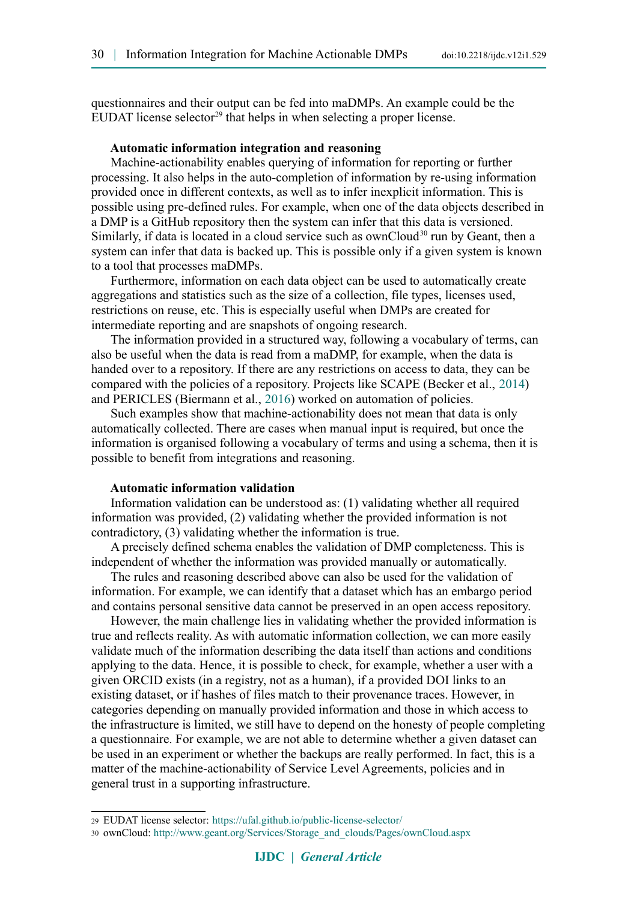questionnaires and their output can be fed into maDMPs. An example could be the EUDAT license selector<sup>29</sup> that helps in when selecting a proper license.

#### **Automatic information integration and reasoning**

Machine-actionability enables querying of information for reporting or further processing. It also helps in the auto-completion of information by re-using information provided once in different contexts, as well as to infer inexplicit information. This is possible using pre-defined rules. For example, when one of the data objects described in a DMP is a GitHub repository then the system can infer that this data is versioned. Similarly, if data is located in a cloud service such as ownCloud<sup>30</sup> run by Geant, then a system can infer that data is backed up. This is possible only if a given system is known to a tool that processes maDMPs.

Furthermore, information on each data object can be used to automatically create aggregations and statistics such as the size of a collection, file types, licenses used, restrictions on reuse, etc. This is especially useful when DMPs are created for intermediate reporting and are snapshots of ongoing research.

The information provided in a structured way, following a vocabulary of terms, can also be useful when the data is read from a maDMP, for example, when the data is handed over to a repository. If there are any restrictions on access to data, they can be compared with the policies of a repository. Projects like SCAPE (Becker et al., [2014\)](#page-13-5) and PERICLES (Biermann et al., [2016\)](#page-13-4) worked on automation of policies.

Such examples show that machine-actionability does not mean that data is only automatically collected. There are cases when manual input is required, but once the information is organised following a vocabulary of terms and using a schema, then it is possible to benefit from integrations and reasoning.

#### **Automatic information validation**

Information validation can be understood as: (1) validating whether all required information was provided, (2) validating whether the provided information is not contradictory, (3) validating whether the information is true.

A precisely defined schema enables the validation of DMP completeness. This is independent of whether the information was provided manually or automatically.

The rules and reasoning described above can also be used for the validation of information. For example, we can identify that a dataset which has an embargo period and contains personal sensitive data cannot be preserved in an open access repository.

However, the main challenge lies in validating whether the provided information is true and reflects reality. As with automatic information collection, we can more easily validate much of the information describing the data itself than actions and conditions applying to the data. Hence, it is possible to check, for example, whether a user with a given ORCID exists (in a registry, not as a human), if a provided DOI links to an existing dataset, or if hashes of files match to their provenance traces. However, in categories depending on manually provided information and those in which access to the infrastructure is limited, we still have to depend on the honesty of people completing a questionnaire. For example, we are not able to determine whether a given dataset can be used in an experiment or whether the backups are really performed. In fact, this is a matter of the machine-actionability of Service Level Agreements, policies and in general trust in a supporting infrastructure.

<span id="page-8-0"></span><sup>29</sup> EUDAT license selector: <https://ufal.github.io/public-license-selector/>

<span id="page-8-1"></span><sup>30</sup> ownCloud: [http://www.geant.org/Services/Storage\\_and\\_clouds/Pages/ownCloud.aspx](http://www.geant.org/Services/Storage_and_clouds/Pages/ownCloud.aspx)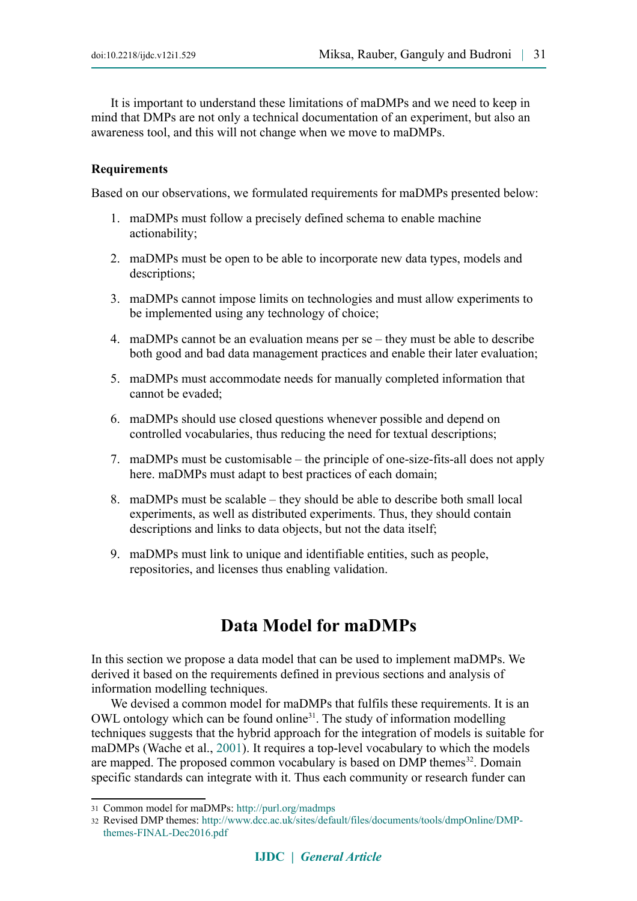It is important to understand these limitations of maDMPs and we need to keep in mind that DMPs are not only a technical documentation of an experiment, but also an awareness tool, and this will not change when we move to maDMPs.

#### **Requirements**

Based on our observations, we formulated requirements for maDMPs presented below:

- 1. maDMPs must follow a precisely defined schema to enable machine actionability;
- 2. maDMPs must be open to be able to incorporate new data types, models and descriptions;
- 3. maDMPs cannot impose limits on technologies and must allow experiments to be implemented using any technology of choice;
- 4. maDMPs cannot be an evaluation means per se they must be able to describe both good and bad data management practices and enable their later evaluation;
- 5. maDMPs must accommodate needs for manually completed information that cannot be evaded;
- 6. maDMPs should use closed questions whenever possible and depend on controlled vocabularies, thus reducing the need for textual descriptions;
- 7. maDMPs must be customisable the principle of one-size-fits-all does not apply here. maDMPs must adapt to best practices of each domain;
- 8. maDMPs must be scalable they should be able to describe both small local experiments, as well as distributed experiments. Thus, they should contain descriptions and links to data objects, but not the data itself;
- 9. maDMPs must link to unique and identifiable entities, such as people, repositories, and licenses thus enabling validation.

## **Data Model for maDMPs**

In this section we propose a data model that can be used to implement maDMPs. We derived it based on the requirements defined in previous sections and analysis of information modelling techniques.

We devised a common model for maDMPs that fulfils these requirements. It is an OWL ontology which can be found online<sup>31</sup>. The study of information modelling techniques suggests that the hybrid approach for the integration of models is suitable for maDMPs (Wache et al., [2001\)](#page-13-6). It requires a top-level vocabulary to which the models are mapped. The proposed common vocabulary is based on DMP themes<sup>32</sup>. Domain specific standards can integrate with it. Thus each community or research funder can

<span id="page-9-0"></span><sup>31</sup> Common model for maDMPs: <http://purl.org/madmps>

<span id="page-9-1"></span><sup>32</sup> Revised DMP themes: [http://www.dcc.ac.uk/sites/default/files/documents/tools/dmpOnline/DMP](http://www.dcc.ac.uk/sites/default/files/documents/tools/dmpOnline/DMP-themes-FINAL-Dec2016.pdf)[themes-FINAL-Dec2016.pdf](http://www.dcc.ac.uk/sites/default/files/documents/tools/dmpOnline/DMP-themes-FINAL-Dec2016.pdf)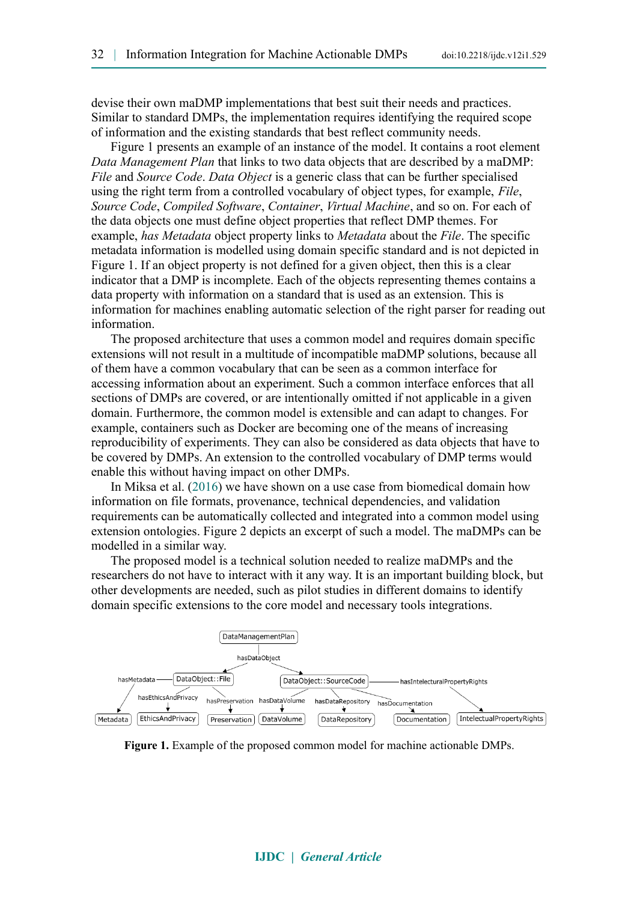devise their own maDMP implementations that best suit their needs and practices. Similar to standard DMPs, the implementation requires identifying the required scope of information and the existing standards that best reflect community needs.

Figure 1 presents an example of an instance of the model. It contains a root element *Data Management Plan* that links to two data objects that are described by a maDMP: *File* and *Source Code*. *Data Object* is a generic class that can be further specialised using the right term from a controlled vocabulary of object types, for example, *File*, *Source Code*, *Compiled Software*, *Container*, *Virtual Machine*, and so on. For each of the data objects one must define object properties that reflect DMP themes. For example, *has Metadata* object property links to *Metadata* about the *File*. The specific metadata information is modelled using domain specific standard and is not depicted in Figure 1. If an object property is not defined for a given object, then this is a clear indicator that a DMP is incomplete. Each of the objects representing themes contains a data property with information on a standard that is used as an extension. This is information for machines enabling automatic selection of the right parser for reading out information.

The proposed architecture that uses a common model and requires domain specific extensions will not result in a multitude of incompatible maDMP solutions, because all of them have a common vocabulary that can be seen as a common interface for accessing information about an experiment. Such a common interface enforces that all sections of DMPs are covered, or are intentionally omitted if not applicable in a given domain. Furthermore, the common model is extensible and can adapt to changes. For example, containers such as Docker are becoming one of the means of increasing reproducibility of experiments. They can also be considered as data objects that have to be covered by DMPs. An extension to the controlled vocabulary of DMP terms would enable this without having impact on other DMPs.

In Miksa et al. [\(2016\)](#page-13-7) we have shown on a use case from biomedical domain how information on file formats, provenance, technical dependencies, and validation requirements can be automatically collected and integrated into a common model using extension ontologies. Figure 2 depicts an excerpt of such a model. The maDMPs can be modelled in a similar way.

The proposed model is a technical solution needed to realize maDMPs and the researchers do not have to interact with it any way. It is an important building block, but other developments are needed, such as pilot studies in different domains to identify domain specific extensions to the core model and necessary tools integrations.



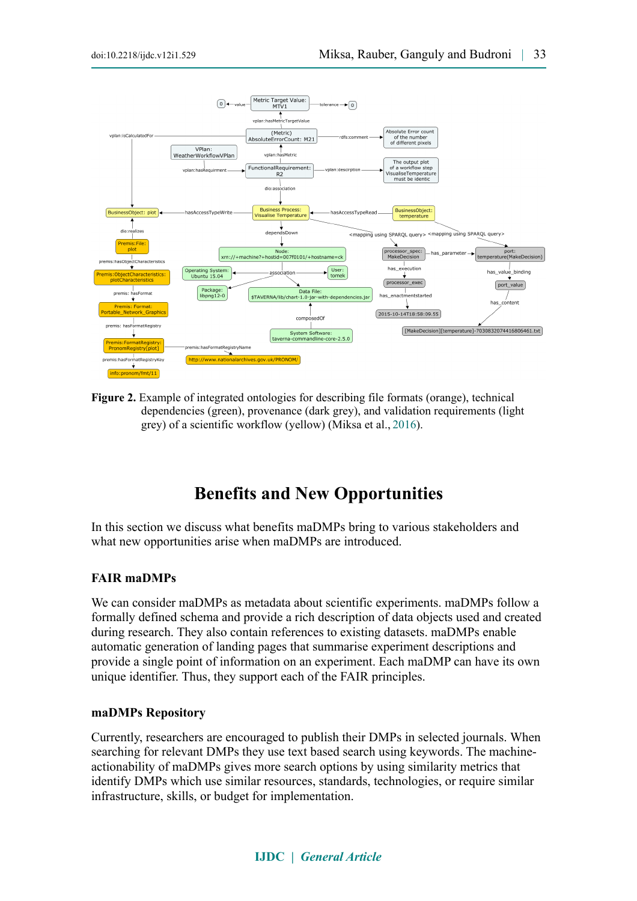

**Figure 2.** Example of integrated ontologies for describing file formats (orange), technical dependencies (green), provenance (dark grey), and validation requirements (light grey) of a scientific workflow (yellow) (Miksa et al., [2016\)](#page-13-7).

## **Benefits and New Opportunities**

In this section we discuss what benefits maDMPs bring to various stakeholders and what new opportunities arise when maDMPs are introduced.

#### **FAIR maDMPs**

We can consider maDMPs as metadata about scientific experiments. maDMPs follow a formally defined schema and provide a rich description of data objects used and created during research. They also contain references to existing datasets. maDMPs enable automatic generation of landing pages that summarise experiment descriptions and provide a single point of information on an experiment. Each maDMP can have its own unique identifier. Thus, they support each of the FAIR principles.

#### **maDMPs Repository**

Currently, researchers are encouraged to publish their DMPs in selected journals. When searching for relevant DMPs they use text based search using keywords. The machineactionability of maDMPs gives more search options by using similarity metrics that identify DMPs which use similar resources, standards, technologies, or require similar infrastructure, skills, or budget for implementation.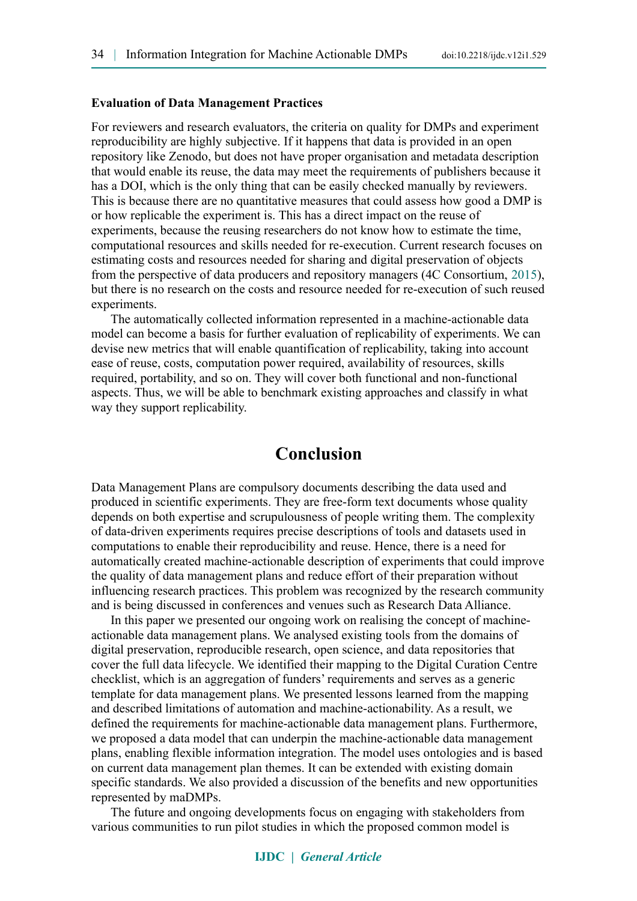#### **Evaluation of Data Management Practices**

For reviewers and research evaluators, the criteria on quality for DMPs and experiment reproducibility are highly subjective. If it happens that data is provided in an open repository like Zenodo, but does not have proper organisation and metadata description that would enable its reuse, the data may meet the requirements of publishers because it has a DOI, which is the only thing that can be easily checked manually by reviewers. This is because there are no quantitative measures that could assess how good a DMP is or how replicable the experiment is. This has a direct impact on the reuse of experiments, because the reusing researchers do not know how to estimate the time, computational resources and skills needed for re-execution. Current research focuses on estimating costs and resources needed for sharing and digital preservation of objects from the perspective of data producers and repository managers (4C Consortium, [2015\)](#page-13-8), but there is no research on the costs and resource needed for re-execution of such reused **experiments** 

The automatically collected information represented in a machine-actionable data model can become a basis for further evaluation of replicability of experiments. We can devise new metrics that will enable quantification of replicability, taking into account ease of reuse, costs, computation power required, availability of resources, skills required, portability, and so on. They will cover both functional and non-functional aspects. Thus, we will be able to benchmark existing approaches and classify in what way they support replicability.

## **Conclusion**

Data Management Plans are compulsory documents describing the data used and produced in scientific experiments. They are free-form text documents whose quality depends on both expertise and scrupulousness of people writing them. The complexity of data-driven experiments requires precise descriptions of tools and datasets used in computations to enable their reproducibility and reuse. Hence, there is a need for automatically created machine-actionable description of experiments that could improve the quality of data management plans and reduce effort of their preparation without influencing research practices. This problem was recognized by the research community and is being discussed in conferences and venues such as Research Data Alliance.

In this paper we presented our ongoing work on realising the concept of machineactionable data management plans. We analysed existing tools from the domains of digital preservation, reproducible research, open science, and data repositories that cover the full data lifecycle. We identified their mapping to the Digital Curation Centre checklist, which is an aggregation of funders' requirements and serves as a generic template for data management plans. We presented lessons learned from the mapping and described limitations of automation and machine-actionability. As a result, we defined the requirements for machine-actionable data management plans. Furthermore, we proposed a data model that can underpin the machine-actionable data management plans, enabling flexible information integration. The model uses ontologies and is based on current data management plan themes. It can be extended with existing domain specific standards. We also provided a discussion of the benefits and new opportunities represented by maDMPs.

The future and ongoing developments focus on engaging with stakeholders from various communities to run pilot studies in which the proposed common model is